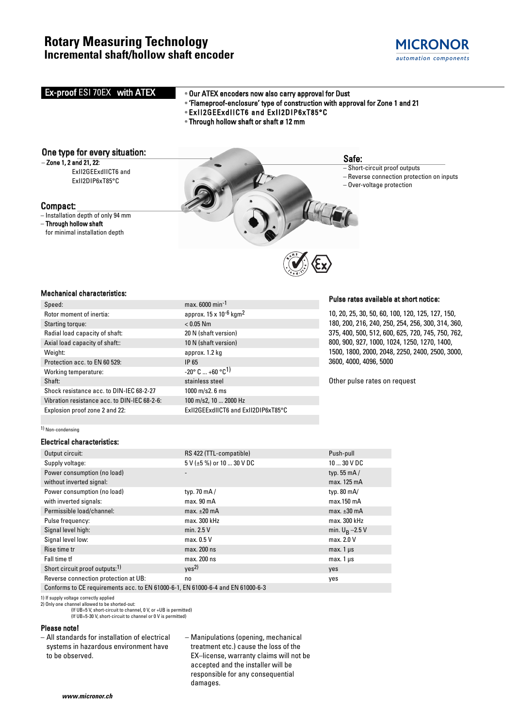## **Rotary Measuring Technology Incremental shaft/hollow shaft encoder**



## Pulse rates available at short notice: 10, 20, 25, 30, 50, 60, 100, 120, 125, 127, 150,  $max. 6000 min<sup>-1</sup>$ approx.  $15 \times 10^{-6}$  kgm<sup>2</sup>  $< 0.05$  Nm **Ex-proof ESI 70EX with ATEX • Our ATEX encoders now also carry approval for Dust** • 'Flameproof-enclosure' type of construction with approval for Zone 1 and 21 • ExII2GEExdIICT6 and ExII2DIP6xT85°C • Through hollow shaft or shaft ø 12 mm Safe: – Short-circuit proof outputs – Reverse connection protection on inputs – Over-voltage protection One type for every situation:  $-$  Zone 1, 2 and 21, 22: ExII2GEExdIICT6 and ExII2DIP6xT85°C for minimal installation depth

180, 200, 216, 240, 250, 254, 256, 300, 314, 360, 375, 400, 500, 512, 600, 625, 720, 745, 750, 762, 800, 900, 927, 1000, 1024, 1250, 1270, 1400, 1500, 1800, 2000, 2048, 2250, 2400, 2500, 3000, 3600, 4000, 4096, 5000

Other pulse rates on request

Compact: – Installation depth of only 94 mm

– Through hollow shaft

### Mechanical characteristics:

|  | Speed:                                       | max.              |
|--|----------------------------------------------|-------------------|
|  | Rotor moment of inertia:                     | appr              |
|  | Starting torque:                             | < 0.0             |
|  | Radial load capacity of shaft:               | 20 N              |
|  | Axial load capacity of shaft::               | 10 <sub>N</sub>   |
|  | Weight:                                      | appr              |
|  | Protection acc. to EN 60 529:                | IP 65             |
|  | Working temperature:                         | $-20^\circ$       |
|  | Shaft:                                       | stain             |
|  | Shock resistance acc. to DIN-IEC 68-2-27     | 1000              |
|  | Vibration resistance acc. to DIN-IEC 68-2-6: | 100n              |
|  | Explosion proof zone 2 and 22:               | ExII <sub>2</sub> |
|  |                                              |                   |

#### 1) Non-condensing

### Electrical characteristics:

| Output circuit:                                                                 | RS 422 (TTL-compatible)   | Push-pull            |  |  |  |  |  |
|---------------------------------------------------------------------------------|---------------------------|----------------------|--|--|--|--|--|
| Supply voltage:                                                                 | 5 V (±5 %) or 10  30 V DC | $1030$ V DC          |  |  |  |  |  |
| Power consumption (no load)                                                     |                           | typ. $55 \text{ mA}$ |  |  |  |  |  |
| without inverted signal:                                                        |                           | max. 125 mA          |  |  |  |  |  |
| Power consumption (no load)                                                     | typ. $70 \text{ mA}$      | typ. $80 \text{ mA}$ |  |  |  |  |  |
| with inverted signals:                                                          | max.90 <sub>m</sub> A     | $max.150$ mA         |  |  |  |  |  |
| Permissible load/channel:                                                       | max. $\pm 20$ mA          | max. $\pm 30$ mA     |  |  |  |  |  |
| Pulse frequency:                                                                | max. 300 kHz              | max. 300 kHz         |  |  |  |  |  |
| Signal level high:                                                              | min. $2.5V$               | min. $U_B - 2.5 V$   |  |  |  |  |  |
| Signal level low:                                                               | max. 0.5 V                | max. 2.0 V           |  |  |  |  |  |
| Rise time tr                                                                    | max. 200 ns               | max. $1 \mu s$       |  |  |  |  |  |
| Fall time tf                                                                    | max. 200 ns               | max. $1 \mu s$       |  |  |  |  |  |
| Short circuit proof outputs: <sup>1)</sup>                                      | ves <sup>2</sup>          | yes                  |  |  |  |  |  |
| Reverse connection protection at UB:                                            | no                        | yes                  |  |  |  |  |  |
| Conforms to CE requirements acc. to EN 61000-6-1, EN 61000-6-4 and EN 61000-6-3 |                           |                      |  |  |  |  |  |

20 N (shaft version) 10 N (shaft version) approx. 1.2 kg

 $-20^{\circ}$  C  $...$  +60  $^{\circ}$ C<sup>1)</sup> stainless steel  $1000$  m/s2. 6 ms 100 m/s2, 10 ... 2000 Hz

ExII2GEExdIICT6 and ExII2DIP6xT85°C

1) If supply voltage correctly applied 2) Only one channel allowed to be shorted-out:

(If UB=5 V, short-circuit to channel, 0 V, or +UB is permitted) (If UB=5-30 V, short-circuit to channel or 0 V is permitted)

### Please note!

– All standards for installation of electrical systems in hazardous environment have to be observed.

– Manipulations (opening, mechanical treatment etc.) cause the loss of the EX–license, warranty claims will not be accepted and the installer will be responsible for any consequential damages.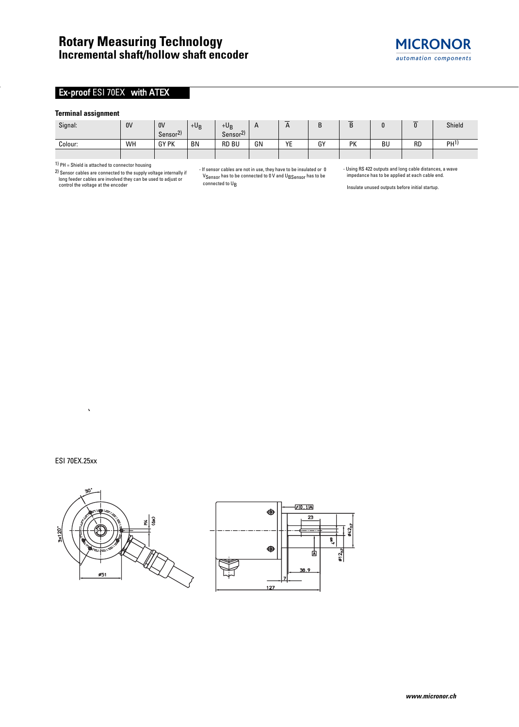#### **Terminal assignment**

| Signal: | 0V | 0V                                    | $+U_B$ | $+U_{R}$                              |    | $\mathbf{\Gamma}$ |    | -<br>D |           |           | Shield          |
|---------|----|---------------------------------------|--------|---------------------------------------|----|-------------------|----|--------|-----------|-----------|-----------------|
|         |    | $\mathcal{D}$<br>Sensor <sup>21</sup> |        | $\mathcal{D}$<br>Sensor <sup>2)</sup> |    |                   |    |        |           |           |                 |
| Colour: | WH | <b>GY PK</b>                          | BN     | <b>RD BU</b>                          | GN | VE<br>. .         | GY | PK     | <b>BU</b> | <b>RD</b> | PH <sup>1</sup> |
|         |    |                                       |        |                                       |    |                   |    |        |           |           |                 |

1) PH = Shield is attached to connector housing

2) Sensor cables are connected to the supply voltage internally if long feeder cables are involved they can be used to adjust or control the voltage at the encoder

- If sensor cables are not in use, they have to be insulated or 0  $V_{\text{Sensor}}$  has to be connected to 0 V and  $U_{\text{BSensor}}$  has to be connected to U<sub>B</sub>

- Using RS 422 outputs and long cable distances, a wave impedance has to be applied at each cable end.

**MICRONOR** automation components

Insulate unused outputs before initial startup.

#### ESI 70EX.25xx